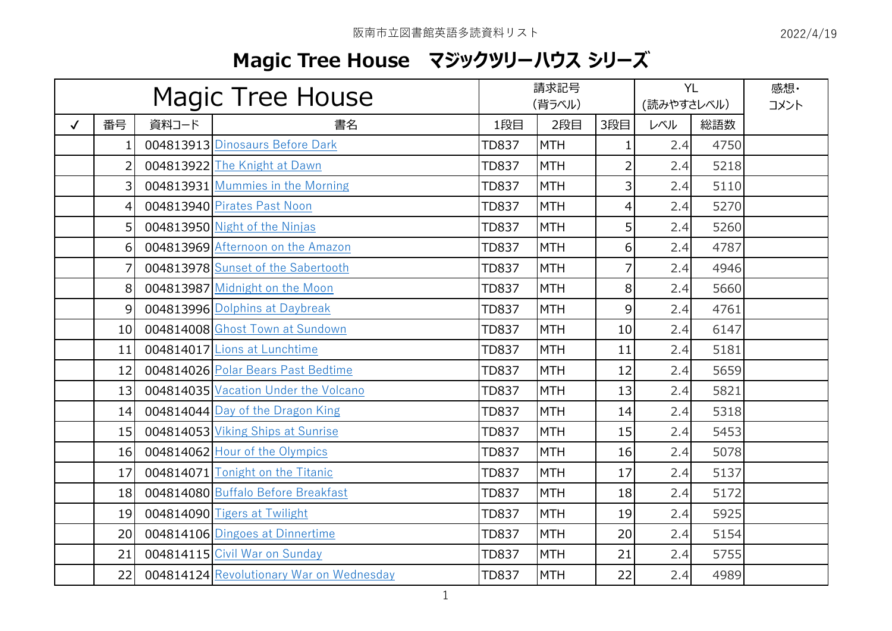## **Magic Tree House マジックツリーハウス シリーズ**

| <b>Magic Tree House</b> |                |       | 請求記号<br>(背ラベル)                           |              |            | <b>YL</b><br>(読みやすさレベル) |     | 感想·<br>コメント |  |
|-------------------------|----------------|-------|------------------------------------------|--------------|------------|-------------------------|-----|-------------|--|
| $\checkmark$            | 番号             | 資料コード | 書名                                       | 1段目          | 2段目        | 3段目                     | レベル | 総語数         |  |
|                         | 1.             |       | 004813913 Dinosaurs Before Dark          | <b>TD837</b> | <b>MTH</b> | $\mathbf{1}$            | 2.4 | 4750        |  |
|                         | $\overline{2}$ |       | 004813922 The Knight at Dawn             | <b>TD837</b> | <b>MTH</b> | $\overline{2}$          | 2.4 | 5218        |  |
|                         | $\overline{3}$ |       | 004813931 Mummies in the Morning         | <b>TD837</b> | <b>MTH</b> | 3                       | 2.4 | 5110        |  |
|                         | 4              |       | 004813940 Pirates Past Noon              | <b>TD837</b> | <b>MTH</b> | 4                       | 2.4 | 5270        |  |
|                         | 5 <sup>1</sup> |       | 004813950 Night of the Ninjas            | <b>TD837</b> | <b>MTH</b> | 5                       | 2.4 | 5260        |  |
|                         | 6              |       | 004813969 Afternoon on the Amazon        | <b>TD837</b> | <b>MTH</b> | 6                       | 2.4 | 4787        |  |
|                         | 7              |       | 004813978 Sunset of the Sabertooth       | <b>TD837</b> | <b>MTH</b> | $\overline{7}$          | 2.4 | 4946        |  |
|                         | 8              |       | 004813987 Midnight on the Moon           | <b>TD837</b> | <b>MTH</b> | 8                       | 2.4 | 5660        |  |
|                         | 9              |       | 004813996 Dolphins at Daybreak           | <b>TD837</b> | <b>MTH</b> | 9                       | 2.4 | 4761        |  |
|                         | 10             |       | 004814008 Ghost Town at Sundown          | <b>TD837</b> | <b>MTH</b> | 10                      | 2.4 | 6147        |  |
|                         | 11             |       | 004814017 Lions at Lunchtime             | <b>TD837</b> | <b>MTH</b> | 11                      | 2.4 | 5181        |  |
|                         | 12             |       | 004814026 Polar Bears Past Bedtime       | <b>TD837</b> | <b>MTH</b> | 12                      | 2.4 | 5659        |  |
|                         | 13             |       | 004814035 Vacation Under the Volcano     | <b>TD837</b> | <b>MTH</b> | 13                      | 2.4 | 5821        |  |
|                         | 14             |       | 004814044 Day of the Dragon King         | <b>TD837</b> | <b>MTH</b> | 14                      | 2.4 | 5318        |  |
|                         | 15             |       | 004814053 Viking Ships at Sunrise        | <b>TD837</b> | <b>MTH</b> | 15                      | 2.4 | 5453        |  |
|                         | 16             |       | 004814062 Hour of the Olympics           | <b>TD837</b> | <b>MTH</b> | 16                      | 2.4 | 5078        |  |
|                         | 17             |       | 004814071 Tonight on the Titanic         | <b>TD837</b> | <b>MTH</b> | 17                      | 2.4 | 5137        |  |
|                         | 18             |       | 004814080 Buffalo Before Breakfast       | <b>TD837</b> | <b>MTH</b> | 18                      | 2.4 | 5172        |  |
|                         | 19             |       | 004814090 Tigers at Twilight             | <b>TD837</b> | <b>MTH</b> | 19                      | 2.4 | 5925        |  |
|                         | 20             |       | 004814106 Dingoes at Dinnertime          | <b>TD837</b> | <b>MTH</b> | 20                      | 2.4 | 5154        |  |
|                         | 21             |       | 004814115 Civil War on Sunday            | <b>TD837</b> | <b>MTH</b> | 21                      | 2.4 | 5755        |  |
|                         | 22             |       | 004814124 Revolutionary War on Wednesday | <b>TD837</b> | <b>MTH</b> | 22                      | 2.4 | 4989        |  |